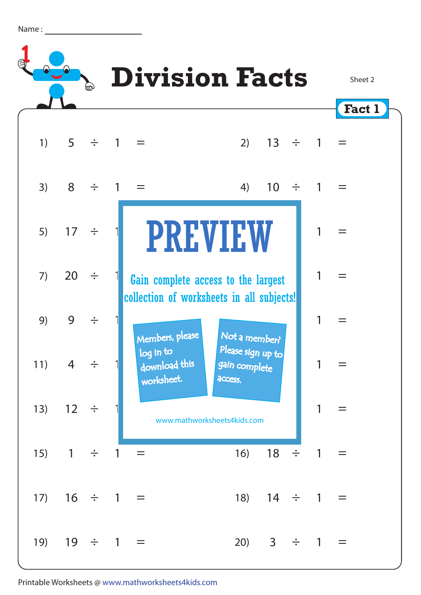